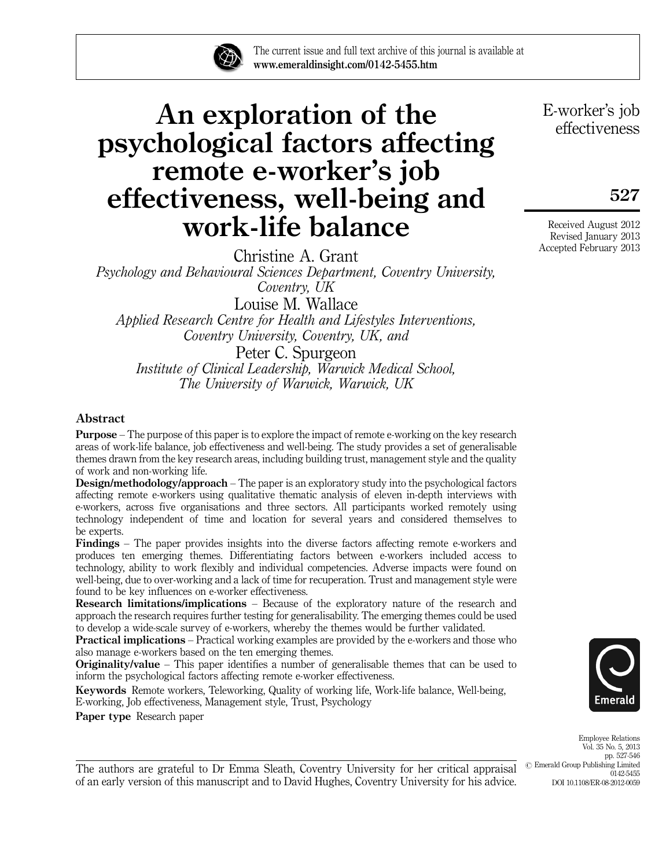

The current issue and full text archive of this journal is available at www.emeraldinsight.com/0142-5455.htm

# An exploration of the psychological factors affecting remote e-worker's job effectiveness, well-being and work-life balance

Christine A. Grant

Psychology and Behavioural Sciences Department, Coventry University, Coventry, UK

Louise M. Wallace Applied Research Centre for Health and Lifestyles Interventions, Coventry University, Coventry, UK, and

Peter C. Spurgeon Institute of Clinical Leadership, Warwick Medical School, The University of Warwick, Warwick, UK

# Abstract

Purpose – The purpose of this paper is to explore the impact of remote e-working on the key research areas of work-life balance, job effectiveness and well-being. The study provides a set of generalisable themes drawn from the key research areas, including building trust, management style and the quality of work and non-working life.

Design/methodology/approach – The paper is an exploratory study into the psychological factors affecting remote e-workers using qualitative thematic analysis of eleven in-depth interviews with e-workers, across five organisations and three sectors. All participants worked remotely using technology independent of time and location for several years and considered themselves to be experts.

Findings – The paper provides insights into the diverse factors affecting remote e-workers and produces ten emerging themes. Differentiating factors between e-workers included access to technology, ability to work flexibly and individual competencies. Adverse impacts were found on well-being, due to over-working and a lack of time for recuperation. Trust and management style were found to be key influences on e-worker effectiveness.

Research limitations/implications – Because of the exploratory nature of the research and approach the research requires further testing for generalisability. The emerging themes could be used to develop a wide-scale survey of e-workers, whereby the themes would be further validated.

Practical implications – Practical working examples are provided by the e-workers and those who also manage e-workers based on the ten emerging themes.

Originality/value – This paper identifies a number of generalisable themes that can be used to inform the psychological factors affecting remote e-worker effectiveness.

Keywords Remote workers, Teleworking, Quality of working life, Work-life balance, Well-being, E-working, Job effectiveness, Management style, Trust, Psychology

Paper type Research paper

E-worker's job effectiveness

527

Received August 2012 Revised January 2013 Accepted February 2013



Employee Relations Vol. 35 No. 5, 2013 pp. 527-546  $\odot$  Emerald Group Publishing Limited 0142-5455 DOI 10.1108/ER-08-2012-0059

The authors are grateful to Dr Emma Sleath, Coventry University for her critical appraisal of an early version of this manuscript and to David Hughes, Coventry University for his advice.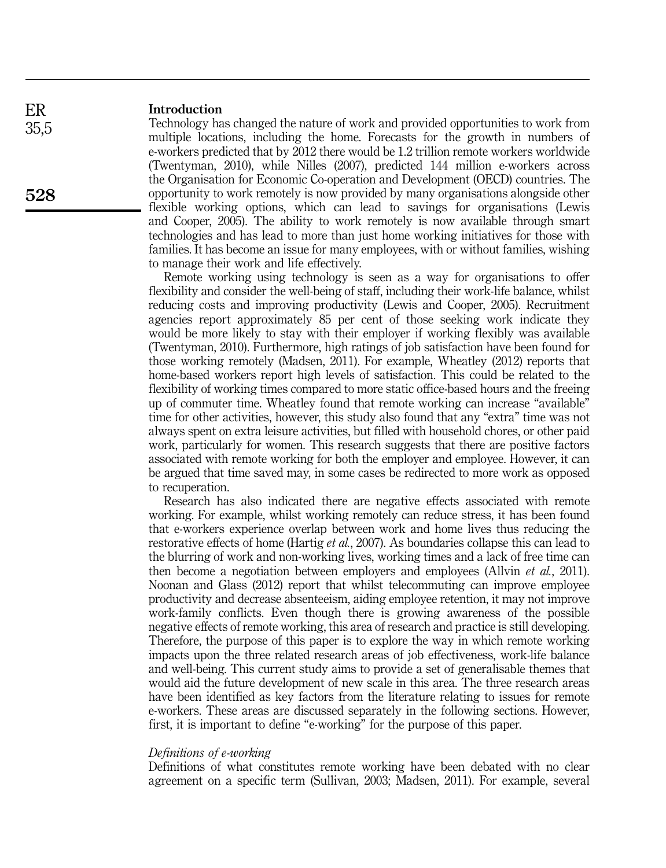#### Introduction ER

Technology has changed the nature of work and provided opportunities to work from multiple locations, including the home. Forecasts for the growth in numbers of e-workers predicted that by 2012 there would be 1.2 trillion remote workers worldwide (Twentyman, 2010), while Nilles (2007), predicted 144 million e-workers across the Organisation for Economic Co-operation and Development (OECD) countries. The opportunity to work remotely is now provided by many organisations alongside other flexible working options, which can lead to savings for organisations (Lewis and Cooper, 2005). The ability to work remotely is now available through smart technologies and has lead to more than just home working initiatives for those with families. It has become an issue for many employees, with or without families, wishing to manage their work and life effectively.

Remote working using technology is seen as a way for organisations to offer flexibility and consider the well-being of staff, including their work-life balance, whilst reducing costs and improving productivity (Lewis and Cooper, 2005). Recruitment agencies report approximately 85 per cent of those seeking work indicate they would be more likely to stay with their employer if working flexibly was available (Twentyman, 2010). Furthermore, high ratings of job satisfaction have been found for those working remotely (Madsen, 2011). For example, Wheatley (2012) reports that home-based workers report high levels of satisfaction. This could be related to the flexibility of working times compared to more static office-based hours and the freeing up of commuter time. Wheatley found that remote working can increase "available" time for other activities, however, this study also found that any "extra" time was not always spent on extra leisure activities, but filled with household chores, or other paid work, particularly for women. This research suggests that there are positive factors associated with remote working for both the employer and employee. However, it can be argued that time saved may, in some cases be redirected to more work as opposed to recuperation.

Research has also indicated there are negative effects associated with remote working. For example, whilst working remotely can reduce stress, it has been found that e-workers experience overlap between work and home lives thus reducing the restorative effects of home (Hartig et al., 2007). As boundaries collapse this can lead to the blurring of work and non-working lives, working times and a lack of free time can then become a negotiation between employers and employees (Allyin *et al.*, 2011). Noonan and Glass (2012) report that whilst telecommuting can improve employee productivity and decrease absenteeism, aiding employee retention, it may not improve work-family conflicts. Even though there is growing awareness of the possible negative effects of remote working, this area of research and practice is still developing. Therefore, the purpose of this paper is to explore the way in which remote working impacts upon the three related research areas of job effectiveness, work-life balance and well-being. This current study aims to provide a set of generalisable themes that would aid the future development of new scale in this area. The three research areas have been identified as key factors from the literature relating to issues for remote e-workers. These areas are discussed separately in the following sections. However, first, it is important to define "e-working" for the purpose of this paper.

#### Definitions of e-working

Definitions of what constitutes remote working have been debated with no clear agreement on a specific term (Sullivan, 2003; Madsen, 2011). For example, several

35,5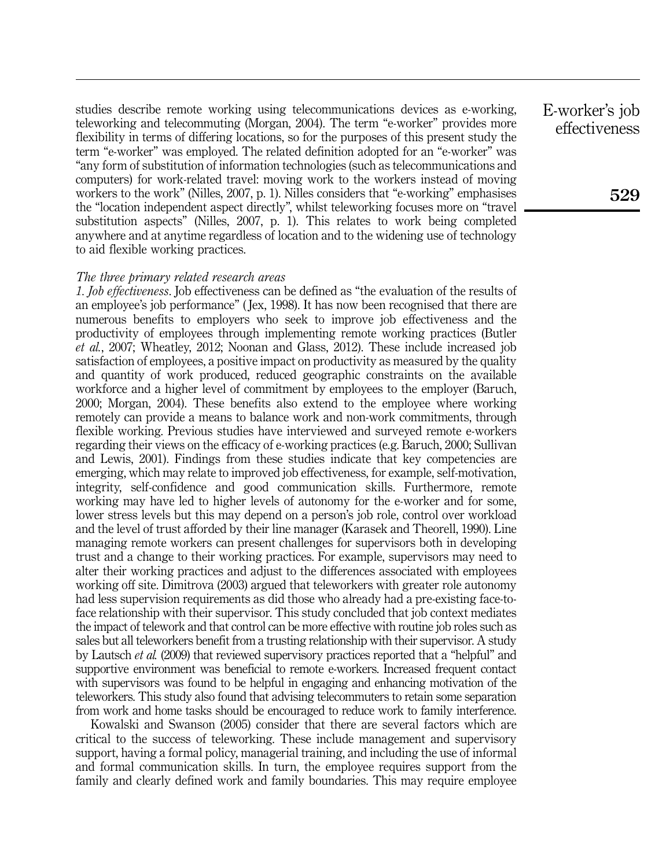studies describe remote working using telecommunications devices as e-working, teleworking and telecommuting (Morgan, 2004). The term "e-worker" provides more flexibility in terms of differing locations, so for the purposes of this present study the term "e-worker" was employed. The related definition adopted for an "e-worker" was "any form of substitution of information technologies (such as telecommunications and computers) for work-related travel: moving work to the workers instead of moving workers to the work" (Nilles, 2007, p. 1). Nilles considers that "e-working" emphasises the "location independent aspect directly", whilst teleworking focuses more on "travel substitution aspects" (Nilles, 2007, p. 1). This relates to work being completed anywhere and at anytime regardless of location and to the widening use of technology to aid flexible working practices.

### The three primary related research areas

1. Job effectiveness. Job effectiveness can be defined as "the evaluation of the results of an employee's job performance" ( Jex, 1998). It has now been recognised that there are numerous benefits to employers who seek to improve job effectiveness and the productivity of employees through implementing remote working practices (Butler et al., 2007; Wheatley, 2012; Noonan and Glass, 2012). These include increased job satisfaction of employees, a positive impact on productivity as measured by the quality and quantity of work produced, reduced geographic constraints on the available workforce and a higher level of commitment by employees to the employer (Baruch, 2000; Morgan, 2004). These benefits also extend to the employee where working remotely can provide a means to balance work and non-work commitments, through flexible working. Previous studies have interviewed and surveyed remote e-workers regarding their views on the efficacy of e-working practices (e.g. Baruch, 2000; Sullivan and Lewis, 2001). Findings from these studies indicate that key competencies are emerging, which may relate to improved job effectiveness, for example, self-motivation, integrity, self-confidence and good communication skills. Furthermore, remote working may have led to higher levels of autonomy for the e-worker and for some, lower stress levels but this may depend on a person's job role, control over workload and the level of trust afforded by their line manager (Karasek and Theorell, 1990). Line managing remote workers can present challenges for supervisors both in developing trust and a change to their working practices. For example, supervisors may need to alter their working practices and adjust to the differences associated with employees working off site. Dimitrova (2003) argued that teleworkers with greater role autonomy had less supervision requirements as did those who already had a pre-existing face-toface relationship with their supervisor. This study concluded that job context mediates the impact of telework and that control can be more effective with routine job roles such as sales but all teleworkers benefit from a trusting relationship with their supervisor. A study by Lautsch et al. (2009) that reviewed supervisory practices reported that a "helpful" and supportive environment was beneficial to remote e-workers. Increased frequent contact with supervisors was found to be helpful in engaging and enhancing motivation of the teleworkers. This study also found that advising telecommuters to retain some separation from work and home tasks should be encouraged to reduce work to family interference.

Kowalski and Swanson (2005) consider that there are several factors which are critical to the success of teleworking. These include management and supervisory support, having a formal policy, managerial training, and including the use of informal and formal communication skills. In turn, the employee requires support from the family and clearly defined work and family boundaries. This may require employee E-worker's job effectiveness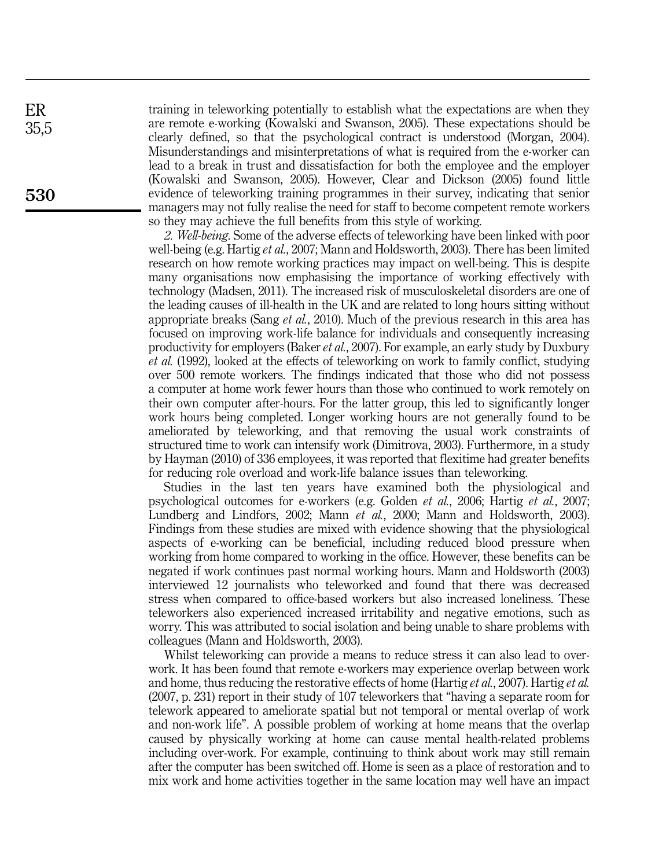training in teleworking potentially to establish what the expectations are when they are remote e-working (Kowalski and Swanson, 2005). These expectations should be clearly defined, so that the psychological contract is understood (Morgan, 2004). Misunderstandings and misinterpretations of what is required from the e-worker can lead to a break in trust and dissatisfaction for both the employee and the employer (Kowalski and Swanson, 2005). However, Clear and Dickson (2005) found little evidence of teleworking training programmes in their survey, indicating that senior managers may not fully realise the need for staff to become competent remote workers so they may achieve the full benefits from this style of working.

2. Well-being. Some of the adverse effects of teleworking have been linked with poor well-being (e.g. Hartig et al., 2007; Mann and Holdsworth, 2003). There has been limited research on how remote working practices may impact on well-being. This is despite many organisations now emphasising the importance of working effectively with technology (Madsen, 2011). The increased risk of musculoskeletal disorders are one of the leading causes of ill-health in the UK and are related to long hours sitting without appropriate breaks (Sang et al., 2010). Much of the previous research in this area has focused on improving work-life balance for individuals and consequently increasing productivity for employers (Baker et al., 2007). For example, an early study by Duxbury et al. (1992), looked at the effects of teleworking on work to family conflict, studying over 500 remote workers. The findings indicated that those who did not possess a computer at home work fewer hours than those who continued to work remotely on their own computer after-hours. For the latter group, this led to significantly longer work hours being completed. Longer working hours are not generally found to be ameliorated by teleworking, and that removing the usual work constraints of structured time to work can intensify work (Dimitrova, 2003). Furthermore, in a study by Hayman (2010) of 336 employees, it was reported that flexitime had greater benefits for reducing role overload and work-life balance issues than teleworking.

Studies in the last ten years have examined both the physiological and psychological outcomes for e-workers (e.g. Golden et al., 2006; Hartig et al., 2007; Lundberg and Lindfors, 2002; Mann et al., 2000; Mann and Holdsworth, 2003). Findings from these studies are mixed with evidence showing that the physiological aspects of e-working can be beneficial, including reduced blood pressure when working from home compared to working in the office. However, these benefits can be negated if work continues past normal working hours. Mann and Holdsworth (2003) interviewed 12 journalists who teleworked and found that there was decreased stress when compared to office-based workers but also increased loneliness. These teleworkers also experienced increased irritability and negative emotions, such as worry. This was attributed to social isolation and being unable to share problems with colleagues (Mann and Holdsworth, 2003).

Whilst teleworking can provide a means to reduce stress it can also lead to overwork. It has been found that remote e-workers may experience overlap between work and home, thus reducing the restorative effects of home (Hartig et al., 2007). Hartig et al. (2007, p. 231) report in their study of 107 teleworkers that "having a separate room for telework appeared to ameliorate spatial but not temporal or mental overlap of work and non-work life". A possible problem of working at home means that the overlap caused by physically working at home can cause mental health-related problems including over-work. For example, continuing to think about work may still remain after the computer has been switched off. Home is seen as a place of restoration and to mix work and home activities together in the same location may well have an impact

ER 35,5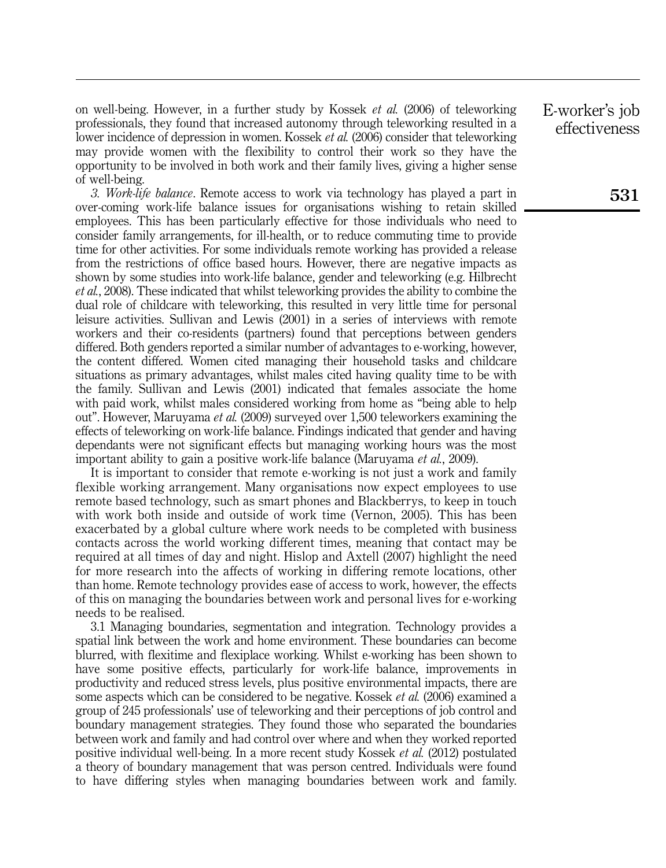on well-being. However, in a further study by Kossek et al. (2006) of teleworking professionals, they found that increased autonomy through teleworking resulted in a lower incidence of depression in women. Kossek *et al.* (2006) consider that teleworking may provide women with the flexibility to control their work so they have the opportunity to be involved in both work and their family lives, giving a higher sense of well-being.

3. Work-life balance. Remote access to work via technology has played a part in over-coming work-life balance issues for organisations wishing to retain skilled employees. This has been particularly effective for those individuals who need to consider family arrangements, for ill-health, or to reduce commuting time to provide time for other activities. For some individuals remote working has provided a release from the restrictions of office based hours. However, there are negative impacts as shown by some studies into work-life balance, gender and teleworking (e.g. Hilbrecht et al., 2008). These indicated that whilst teleworking provides the ability to combine the dual role of childcare with teleworking, this resulted in very little time for personal leisure activities. Sullivan and Lewis (2001) in a series of interviews with remote workers and their co-residents (partners) found that perceptions between genders differed. Both genders reported a similar number of advantages to e-working, however, the content differed. Women cited managing their household tasks and childcare situations as primary advantages, whilst males cited having quality time to be with the family. Sullivan and Lewis (2001) indicated that females associate the home with paid work, whilst males considered working from home as "being able to help out". However, Maruyama et al. (2009) surveyed over 1,500 teleworkers examining the effects of teleworking on work-life balance. Findings indicated that gender and having dependants were not significant effects but managing working hours was the most important ability to gain a positive work-life balance (Maruyama et al., 2009).

It is important to consider that remote e-working is not just a work and family flexible working arrangement. Many organisations now expect employees to use remote based technology, such as smart phones and Blackberrys, to keep in touch with work both inside and outside of work time (Vernon, 2005). This has been exacerbated by a global culture where work needs to be completed with business contacts across the world working different times, meaning that contact may be required at all times of day and night. Hislop and Axtell (2007) highlight the need for more research into the affects of working in differing remote locations, other than home. Remote technology provides ease of access to work, however, the effects of this on managing the boundaries between work and personal lives for e-working needs to be realised.

3.1 Managing boundaries, segmentation and integration. Technology provides a spatial link between the work and home environment. These boundaries can become blurred, with flexitime and flexiplace working. Whilst e-working has been shown to have some positive effects, particularly for work-life balance, improvements in productivity and reduced stress levels, plus positive environmental impacts, there are some aspects which can be considered to be negative. Kossek et al. (2006) examined a group of 245 professionals' use of teleworking and their perceptions of job control and boundary management strategies. They found those who separated the boundaries between work and family and had control over where and when they worked reported positive individual well-being. In a more recent study Kossek et al. (2012) postulated a theory of boundary management that was person centred. Individuals were found to have differing styles when managing boundaries between work and family.

E-worker's job effectiveness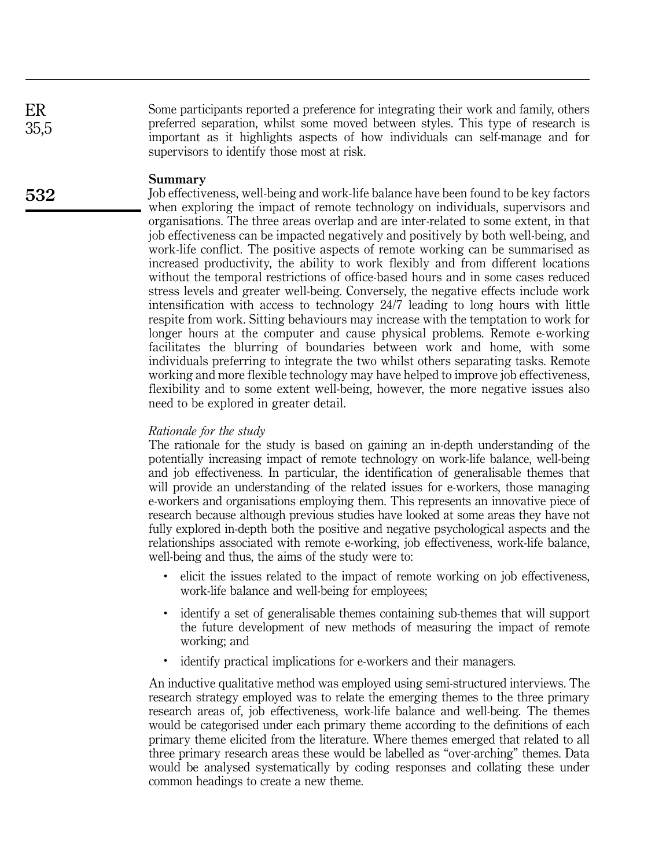Some participants reported a preference for integrating their work and family, others preferred separation, whilst some moved between styles. This type of research is important as it highlights aspects of how individuals can self-manage and for supervisors to identify those most at risk. 35,5

# Summary

532

ER

Job effectiveness, well-being and work-life balance have been found to be key factors when exploring the impact of remote technology on individuals, supervisors and organisations. The three areas overlap and are inter-related to some extent, in that job effectiveness can be impacted negatively and positively by both well-being, and work-life conflict. The positive aspects of remote working can be summarised as increased productivity, the ability to work flexibly and from different locations without the temporal restrictions of office-based hours and in some cases reduced stress levels and greater well-being. Conversely, the negative effects include work intensification with access to technology 24/7 leading to long hours with little respite from work. Sitting behaviours may increase with the temptation to work for longer hours at the computer and cause physical problems. Remote e-working facilitates the blurring of boundaries between work and home, with some individuals preferring to integrate the two whilst others separating tasks. Remote working and more flexible technology may have helped to improve job effectiveness, flexibility and to some extent well-being, however, the more negative issues also need to be explored in greater detail.

# Rationale for the study

The rationale for the study is based on gaining an in-depth understanding of the potentially increasing impact of remote technology on work-life balance, well-being and job effectiveness. In particular, the identification of generalisable themes that will provide an understanding of the related issues for e-workers, those managing e-workers and organisations employing them. This represents an innovative piece of research because although previous studies have looked at some areas they have not fully explored in-depth both the positive and negative psychological aspects and the relationships associated with remote e-working, job effectiveness, work-life balance, well-being and thus, the aims of the study were to:

- . elicit the issues related to the impact of remote working on job effectiveness, work-life balance and well-being for employees;
- . identify a set of generalisable themes containing sub-themes that will support the future development of new methods of measuring the impact of remote working; and
- . identify practical implications for e-workers and their managers.

An inductive qualitative method was employed using semi-structured interviews. The research strategy employed was to relate the emerging themes to the three primary research areas of, job effectiveness, work-life balance and well-being. The themes would be categorised under each primary theme according to the definitions of each primary theme elicited from the literature. Where themes emerged that related to all three primary research areas these would be labelled as "over-arching" themes. Data would be analysed systematically by coding responses and collating these under common headings to create a new theme.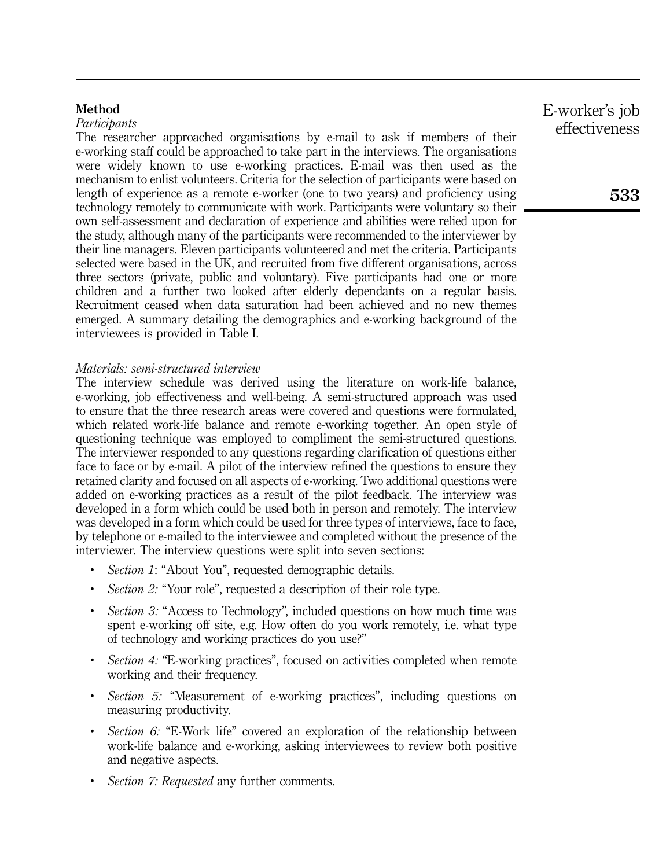# Method

# **Participants**

The researcher approached organisations by e-mail to ask if members of their e-working staff could be approached to take part in the interviews. The organisations were widely known to use e-working practices. E-mail was then used as the mechanism to enlist volunteers. Criteria for the selection of participants were based on length of experience as a remote e-worker (one to two years) and proficiency using technology remotely to communicate with work. Participants were voluntary so their own self-assessment and declaration of experience and abilities were relied upon for the study, although many of the participants were recommended to the interviewer by their line managers. Eleven participants volunteered and met the criteria. Participants selected were based in the UK, and recruited from five different organisations, across three sectors (private, public and voluntary). Five participants had one or more children and a further two looked after elderly dependants on a regular basis. Recruitment ceased when data saturation had been achieved and no new themes emerged. A summary detailing the demographics and e-working background of the interviewees is provided in Table I.

# Materials: semi-structured interview

The interview schedule was derived using the literature on work-life balance, e-working, job effectiveness and well-being. A semi-structured approach was used to ensure that the three research areas were covered and questions were formulated, which related work-life balance and remote e-working together. An open style of questioning technique was employed to compliment the semi-structured questions. The interviewer responded to any questions regarding clarification of questions either face to face or by e-mail. A pilot of the interview refined the questions to ensure they retained clarity and focused on all aspects of e-working. Two additional questions were added on e-working practices as a result of the pilot feedback. The interview was developed in a form which could be used both in person and remotely. The interview was developed in a form which could be used for three types of interviews, face to face, by telephone or e-mailed to the interviewee and completed without the presence of the interviewer. The interview questions were split into seven sections:

- . Section 1: "About You", requested demographic details.
- . Section 2: "Your role", requested a description of their role type.
- . Section 3: "Access to Technology", included questions on how much time was spent e-working off site, e.g. How often do you work remotely, i.e. what type of technology and working practices do you use?"
- . Section 4: "E-working practices", focused on activities completed when remote working and their frequency.
- . Section 5: "Measurement of e-working practices", including questions on measuring productivity.
- . Section 6: "E-Work life" covered an exploration of the relationship between work-life balance and e-working, asking interviewees to review both positive and negative aspects.
- . Section 7: Requested any further comments.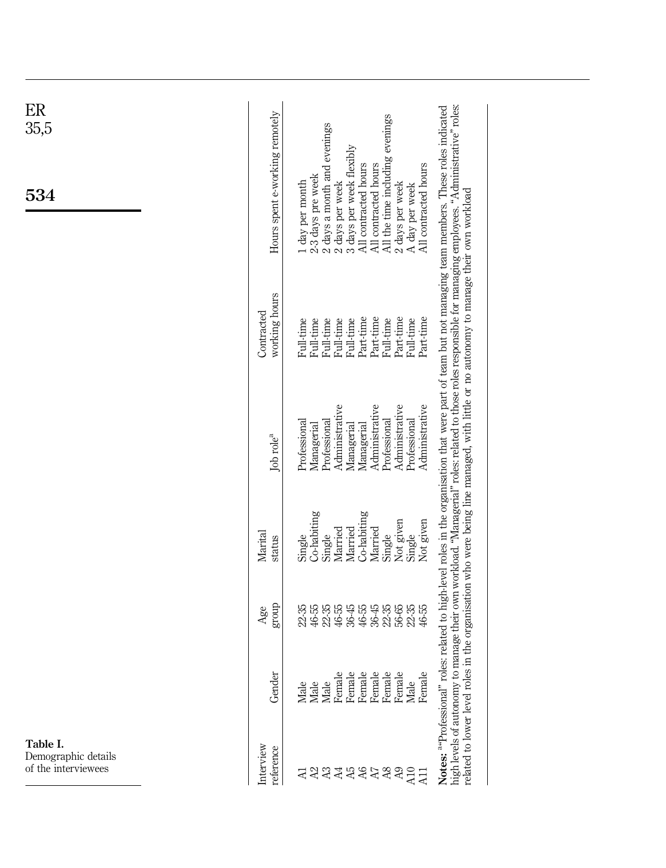| ER                                                     |                                |                                                                                                                                                                                                                                                                                                                                                                                                                                                                                                                                                                                                |
|--------------------------------------------------------|--------------------------------|------------------------------------------------------------------------------------------------------------------------------------------------------------------------------------------------------------------------------------------------------------------------------------------------------------------------------------------------------------------------------------------------------------------------------------------------------------------------------------------------------------------------------------------------------------------------------------------------|
| 35,5<br>534                                            | Hours spent e-working remotely | high levels of autonomy to manage their own workload. "Managerial" roles: related to those roles responsible for managing employees. "Administrative" roles:<br>Notes: "Professional" roles: related to high-level roles in the organisation that were part of team but not managing team members. These roles indicated<br>All the time including evenings<br>2 days a month and evenings<br>3 days per week flexibly<br>All contracted hours<br>All contracted hours<br>All contracted hours<br>2-3 days pre week<br>1 day per month<br>2 days per week<br>2 days per week<br>A day per week |
|                                                        | working hours<br>Contracted    | related to lower level roles in the organisation who were being line managed, with little or no autonomy to manage their own workload<br>Part-time<br>Part-time<br>Part-time<br>Full-time<br>Full-time<br>Part time<br>Full-time<br>Full-time<br>Full-time<br>Full-time<br>Full-time                                                                                                                                                                                                                                                                                                           |
|                                                        | Job role <sup>a</sup>          | Administrative<br>Administrative<br>Administrative<br>Administrative<br>Professional<br>Professional<br>Professional<br>Professional<br>Managerial<br>Managerial<br>Managerial                                                                                                                                                                                                                                                                                                                                                                                                                 |
|                                                        | Marital<br>status              | Co-habiting<br>Co-habiting<br>Not given<br>Not given<br>Married<br>Married<br>Married<br>Single<br>Single<br>Single<br>Single                                                                                                                                                                                                                                                                                                                                                                                                                                                                  |
|                                                        | group<br>Age                   | 46-55<br>22-35<br>46-55<br>36-45<br>46-55<br>36-45<br>56-65<br>22-35<br>46-55<br>22-35<br>22-35                                                                                                                                                                                                                                                                                                                                                                                                                                                                                                |
|                                                        | Gender                         | Male<br>Male<br>Male<br>Female<br>Female<br>Female<br>Female<br>Female<br>Female<br>Male<br>Female                                                                                                                                                                                                                                                                                                                                                                                                                                                                                             |
| Table I.<br>Demographic details<br>of the interviewees | Interview<br>reference         | दक्ष सम्बद्ध दक्ष अस्<br>दक्ष सम्बद्ध दक्ष अस्                                                                                                                                                                                                                                                                                                                                                                                                                                                                                                                                                 |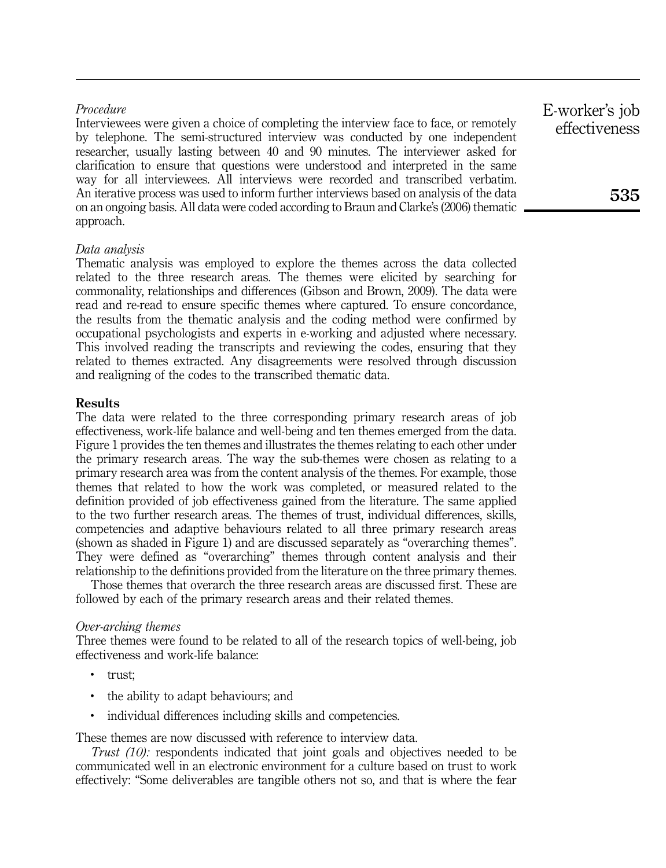# Procedure

Interviewees were given a choice of completing the interview face to face, or remotely by telephone. The semi-structured interview was conducted by one independent researcher, usually lasting between 40 and 90 minutes. The interviewer asked for clarification to ensure that questions were understood and interpreted in the same way for all interviewees. All interviews were recorded and transcribed verbatim. An iterative process was used to inform further interviews based on analysis of the data on an ongoing basis. All data were coded according to Braun and Clarke's (2006) thematic approach.

# Data analysis

Thematic analysis was employed to explore the themes across the data collected related to the three research areas. The themes were elicited by searching for commonality, relationships and differences (Gibson and Brown, 2009). The data were read and re-read to ensure specific themes where captured. To ensure concordance, the results from the thematic analysis and the coding method were confirmed by occupational psychologists and experts in e-working and adjusted where necessary. This involved reading the transcripts and reviewing the codes, ensuring that they related to themes extracted. Any disagreements were resolved through discussion and realigning of the codes to the transcribed thematic data.

# Results

The data were related to the three corresponding primary research areas of job effectiveness, work-life balance and well-being and ten themes emerged from the data. Figure 1 provides the ten themes and illustrates the themes relating to each other under the primary research areas. The way the sub-themes were chosen as relating to a primary research area was from the content analysis of the themes. For example, those themes that related to how the work was completed, or measured related to the definition provided of job effectiveness gained from the literature. The same applied to the two further research areas. The themes of trust, individual differences, skills, competencies and adaptive behaviours related to all three primary research areas (shown as shaded in Figure 1) and are discussed separately as "overarching themes". They were defined as "overarching" themes through content analysis and their relationship to the definitions provided from the literature on the three primary themes.

Those themes that overarch the three research areas are discussed first. These are followed by each of the primary research areas and their related themes.

# Over-arching themes

Three themes were found to be related to all of the research topics of well-being, job effectiveness and work-life balance:

- . trust;
- . the ability to adapt behaviours; and
- . individual differences including skills and competencies.

These themes are now discussed with reference to interview data.

Trust (10): respondents indicated that joint goals and objectives needed to be communicated well in an electronic environment for a culture based on trust to work effectively: "Some deliverables are tangible others not so, and that is where the fear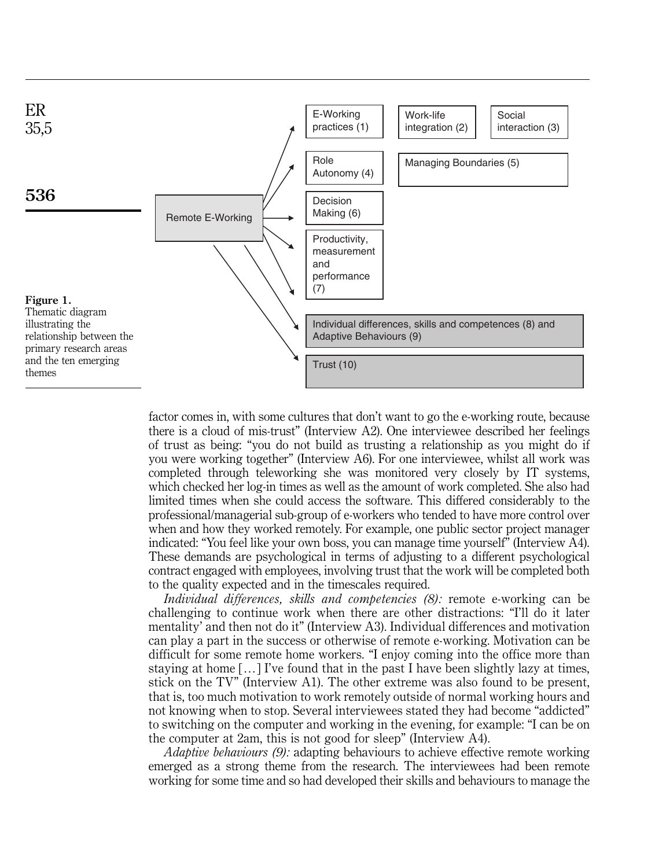

factor comes in, with some cultures that don't want to go the e-working route, because there is a cloud of mis-trust" (Interview A2). One interviewee described her feelings of trust as being: "you do not build as trusting a relationship as you might do if you were working together" (Interview A6). For one interviewee, whilst all work was completed through teleworking she was monitored very closely by IT systems, which checked her log-in times as well as the amount of work completed. She also had limited times when she could access the software. This differed considerably to the professional/managerial sub-group of e-workers who tended to have more control over when and how they worked remotely. For example, one public sector project manager indicated: "You feel like your own boss, you can manage time yourself" (Interview A4). These demands are psychological in terms of adjusting to a different psychological contract engaged with employees, involving trust that the work will be completed both to the quality expected and in the timescales required.

Individual differences, skills and competencies (8): remote e-working can be challenging to continue work when there are other distractions: "I'll do it later mentality' and then not do it" (Interview A3). Individual differences and motivation can play a part in the success or otherwise of remote e-working. Motivation can be difficult for some remote home workers. "I enjoy coming into the office more than staying at home  $[\dots]$  I've found that in the past I have been slightly lazy at times, stick on the TV" (Interview A1). The other extreme was also found to be present, that is, too much motivation to work remotely outside of normal working hours and not knowing when to stop. Several interviewees stated they had become "addicted" to switching on the computer and working in the evening, for example: "I can be on the computer at 2am, this is not good for sleep" (Interview A4).

Adaptive behaviours (9): adapting behaviours to achieve effective remote working emerged as a strong theme from the research. The interviewees had been remote working for some time and so had developed their skills and behaviours to manage the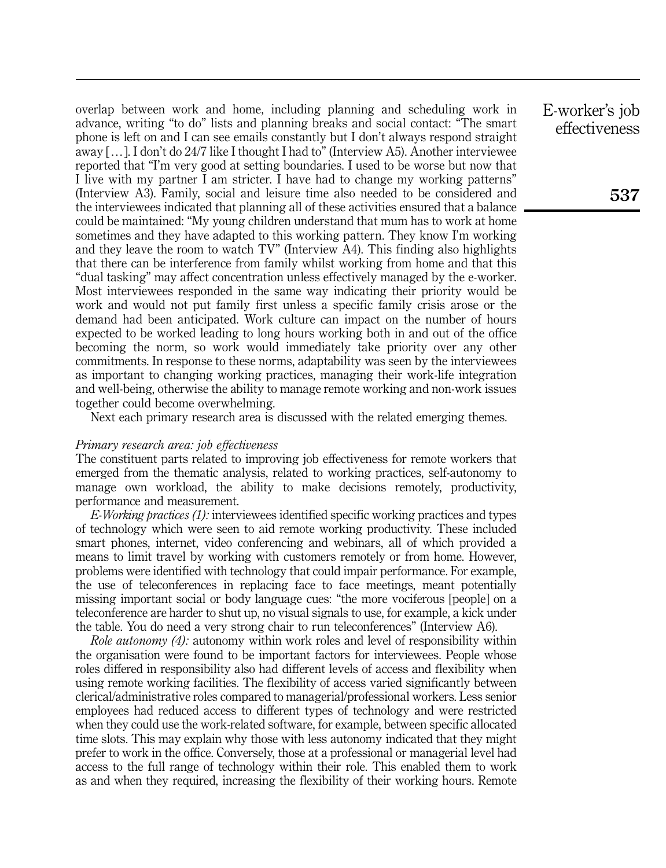overlap between work and home, including planning and scheduling work in advance, writing "to do" lists and planning breaks and social contact: "The smart phone is left on and I can see emails constantly but I don't always respond straight away [...]. I don't do 24/7 like I thought I had to" (Interview A5). Another interviewee reported that "I'm very good at setting boundaries. I used to be worse but now that I live with my partner I am stricter. I have had to change my working patterns" (Interview A3). Family, social and leisure time also needed to be considered and the interviewees indicated that planning all of these activities ensured that a balance could be maintained: "My young children understand that mum has to work at home sometimes and they have adapted to this working pattern. They know I'm working and they leave the room to watch TV" (Interview A4). This finding also highlights that there can be interference from family whilst working from home and that this "dual tasking" may affect concentration unless effectively managed by the e-worker. Most interviewees responded in the same way indicating their priority would be work and would not put family first unless a specific family crisis arose or the demand had been anticipated. Work culture can impact on the number of hours expected to be worked leading to long hours working both in and out of the office becoming the norm, so work would immediately take priority over any other commitments. In response to these norms, adaptability was seen by the interviewees as important to changing working practices, managing their work-life integration and well-being, otherwise the ability to manage remote working and non-work issues together could become overwhelming.

Next each primary research area is discussed with the related emerging themes.

### Primary research area: job effectiveness

The constituent parts related to improving job effectiveness for remote workers that emerged from the thematic analysis, related to working practices, self-autonomy to manage own workload, the ability to make decisions remotely, productivity, performance and measurement.

E-Working practices (1): interviewees identified specific working practices and types of technology which were seen to aid remote working productivity. These included smart phones, internet, video conferencing and webinars, all of which provided a means to limit travel by working with customers remotely or from home. However, problems were identified with technology that could impair performance. For example, the use of teleconferences in replacing face to face meetings, meant potentially missing important social or body language cues: "the more vociferous [people] on a teleconference are harder to shut up, no visual signals to use, for example, a kick under the table. You do need a very strong chair to run teleconferences" (Interview A6).

Role autonomy (4): autonomy within work roles and level of responsibility within the organisation were found to be important factors for interviewees. People whose roles differed in responsibility also had different levels of access and flexibility when using remote working facilities. The flexibility of access varied significantly between clerical/administrative roles compared to managerial/professional workers. Less senior employees had reduced access to different types of technology and were restricted when they could use the work-related software, for example, between specific allocated time slots. This may explain why those with less autonomy indicated that they might prefer to work in the office. Conversely, those at a professional or managerial level had access to the full range of technology within their role. This enabled them to work as and when they required, increasing the flexibility of their working hours. Remote E-worker's job effectiveness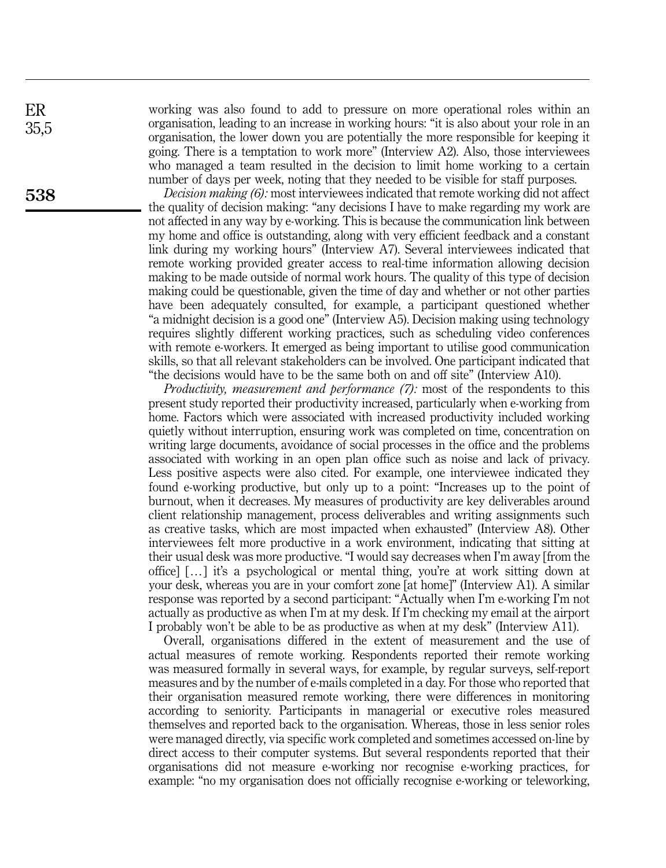working was also found to add to pressure on more operational roles within an organisation, leading to an increase in working hours: "it is also about your role in an organisation, the lower down you are potentially the more responsible for keeping it going. There is a temptation to work more" (Interview A2). Also, those interviewees who managed a team resulted in the decision to limit home working to a certain number of days per week, noting that they needed to be visible for staff purposes.

Decision making (6): most interviewees indicated that remote working did not affect the quality of decision making: "any decisions I have to make regarding my work are not affected in any way by e-working. This is because the communication link between my home and office is outstanding, along with very efficient feedback and a constant link during my working hours" (Interview A7). Several interviewees indicated that remote working provided greater access to real-time information allowing decision making to be made outside of normal work hours. The quality of this type of decision making could be questionable, given the time of day and whether or not other parties have been adequately consulted, for example, a participant questioned whether "a midnight decision is a good one" (Interview A5). Decision making using technology requires slightly different working practices, such as scheduling video conferences with remote e-workers. It emerged as being important to utilise good communication skills, so that all relevant stakeholders can be involved. One participant indicated that "the decisions would have to be the same both on and off site" (Interview A10).

Productivity, measurement and performance (7): most of the respondents to this present study reported their productivity increased, particularly when e-working from home. Factors which were associated with increased productivity included working quietly without interruption, ensuring work was completed on time, concentration on writing large documents, avoidance of social processes in the office and the problems associated with working in an open plan office such as noise and lack of privacy. Less positive aspects were also cited. For example, one interviewee indicated they found e-working productive, but only up to a point: "Increases up to the point of burnout, when it decreases. My measures of productivity are key deliverables around client relationship management, process deliverables and writing assignments such as creative tasks, which are most impacted when exhausted" (Interview A8). Other interviewees felt more productive in a work environment, indicating that sitting at their usual desk was more productive. "I would say decreases when I'm away [from the office]  $[...]$  it's a psychological or mental thing, you're at work sitting down at your desk, whereas you are in your comfort zone [at home]" (Interview A1). A similar response was reported by a second participant: "Actually when I'm e-working I'm not actually as productive as when I'm at my desk. If I'm checking my email at the airport I probably won't be able to be as productive as when at my desk" (Interview A11).

Overall, organisations differed in the extent of measurement and the use of actual measures of remote working. Respondents reported their remote working was measured formally in several ways, for example, by regular surveys, self-report measures and by the number of e-mails completed in a day. For those who reported that their organisation measured remote working, there were differences in monitoring according to seniority. Participants in managerial or executive roles measured themselves and reported back to the organisation. Whereas, those in less senior roles were managed directly, via specific work completed and sometimes accessed on-line by direct access to their computer systems. But several respondents reported that their organisations did not measure e-working nor recognise e-working practices, for example: "no my organisation does not officially recognise e-working or teleworking,

ER 35,5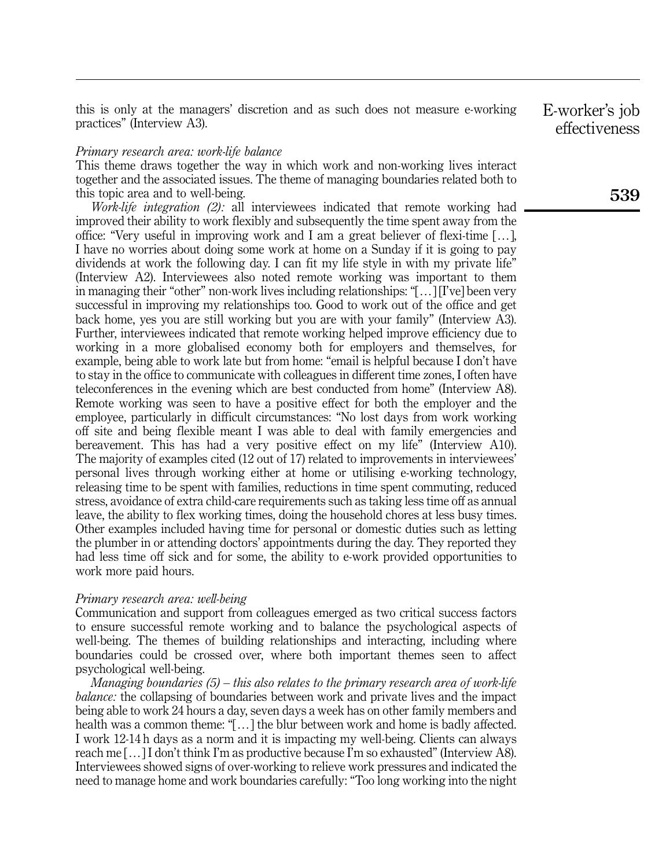this is only at the managers' discretion and as such does not measure e-working practices" (Interview A3).

# Primary research area: work-life balance

This theme draws together the way in which work and non-working lives interact together and the associated issues. The theme of managing boundaries related both to this topic area and to well-being.

Work-life integration (2): all interviewees indicated that remote working had improved their ability to work flexibly and subsequently the time spent away from the office: "Very useful in improving work and I am a great believer of flexi-time  $[\,\ldots\,]$ , I have no worries about doing some work at home on a Sunday if it is going to pay dividends at work the following day. I can fit my life style in with my private life" (Interview A2). Interviewees also noted remote working was important to them in managing their "other" non-work lives including relationships: "[ $\ldots$ ] [I've] been very successful in improving my relationships too. Good to work out of the office and get back home, yes you are still working but you are with your family" (Interview A3). Further, interviewees indicated that remote working helped improve efficiency due to working in a more globalised economy both for employers and themselves, for example, being able to work late but from home: "email is helpful because I don't have to stay in the office to communicate with colleagues in different time zones, I often have teleconferences in the evening which are best conducted from home" (Interview A8). Remote working was seen to have a positive effect for both the employer and the employee, particularly in difficult circumstances: "No lost days from work working off site and being flexible meant I was able to deal with family emergencies and bereavement. This has had a very positive effect on my life" (Interview A10). The majority of examples cited (12 out of 17) related to improvements in interviewees' personal lives through working either at home or utilising e-working technology, releasing time to be spent with families, reductions in time spent commuting, reduced stress, avoidance of extra child-care requirements such as taking less time off as annual leave, the ability to flex working times, doing the household chores at less busy times. Other examples included having time for personal or domestic duties such as letting the plumber in or attending doctors' appointments during the day. They reported they had less time off sick and for some, the ability to e-work provided opportunities to work more paid hours.

# Primary research area: well-being

Communication and support from colleagues emerged as two critical success factors to ensure successful remote working and to balance the psychological aspects of well-being. The themes of building relationships and interacting, including where boundaries could be crossed over, where both important themes seen to affect psychological well-being.

Managing boundaries  $(5)$  – this also relates to the primary research area of work-life balance: the collapsing of boundaries between work and private lives and the impact being able to work 24 hours a day, seven days a week has on other family members and health was a common theme: "[...] the blur between work and home is badly affected. I work 12-14 h days as a norm and it is impacting my well-being. Clients can always reach me  $\lceil \ldots \rceil$  don't think I'm as productive because I'm so exhausted" (Interview A8). Interviewees showed signs of over-working to relieve work pressures and indicated the need to manage home and work boundaries carefully: "Too long working into the night

E-worker's job effectiveness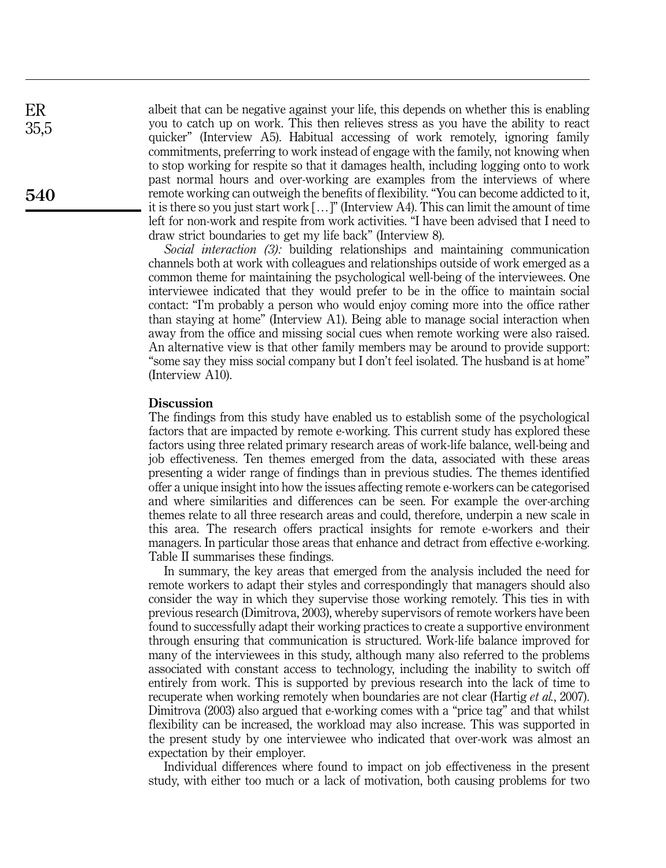albeit that can be negative against your life, this depends on whether this is enabling you to catch up on work. This then relieves stress as you have the ability to react quicker" (Interview A5). Habitual accessing of work remotely, ignoring family commitments, preferring to work instead of engage with the family, not knowing when to stop working for respite so that it damages health, including logging onto to work past normal hours and over-working are examples from the interviews of where remote working can outweigh the benefits of flexibility. "You can become addicted to it, it is there so you just start work  $[...]$ " (Interview A4). This can limit the amount of time left for non-work and respite from work activities. "I have been advised that I need to draw strict boundaries to get my life back" (Interview 8).

Social interaction (3): building relationships and maintaining communication channels both at work with colleagues and relationships outside of work emerged as a common theme for maintaining the psychological well-being of the interviewees. One interviewee indicated that they would prefer to be in the office to maintain social contact: "I'm probably a person who would enjoy coming more into the office rather than staying at home" (Interview A1). Being able to manage social interaction when away from the office and missing social cues when remote working were also raised. An alternative view is that other family members may be around to provide support: "some say they miss social company but I don't feel isolated. The husband is at home" (Interview A10).

#### **Discussion**

The findings from this study have enabled us to establish some of the psychological factors that are impacted by remote e-working. This current study has explored these factors using three related primary research areas of work-life balance, well-being and job effectiveness. Ten themes emerged from the data, associated with these areas presenting a wider range of findings than in previous studies. The themes identified offer a unique insight into how the issues affecting remote e-workers can be categorised and where similarities and differences can be seen. For example the over-arching themes relate to all three research areas and could, therefore, underpin a new scale in this area. The research offers practical insights for remote e-workers and their managers. In particular those areas that enhance and detract from effective e-working. Table II summarises these findings.

In summary, the key areas that emerged from the analysis included the need for remote workers to adapt their styles and correspondingly that managers should also consider the way in which they supervise those working remotely. This ties in with previous research (Dimitrova, 2003), whereby supervisors of remote workers have been found to successfully adapt their working practices to create a supportive environment through ensuring that communication is structured. Work-life balance improved for many of the interviewees in this study, although many also referred to the problems associated with constant access to technology, including the inability to switch off entirely from work. This is supported by previous research into the lack of time to recuperate when working remotely when boundaries are not clear (Hartig *et al.*, 2007). Dimitrova (2003) also argued that e-working comes with a "price tag" and that whilst flexibility can be increased, the workload may also increase. This was supported in the present study by one interviewee who indicated that over-work was almost an expectation by their employer.

Individual differences where found to impact on job effectiveness in the present study, with either too much or a lack of motivation, both causing problems for two

ER 35,5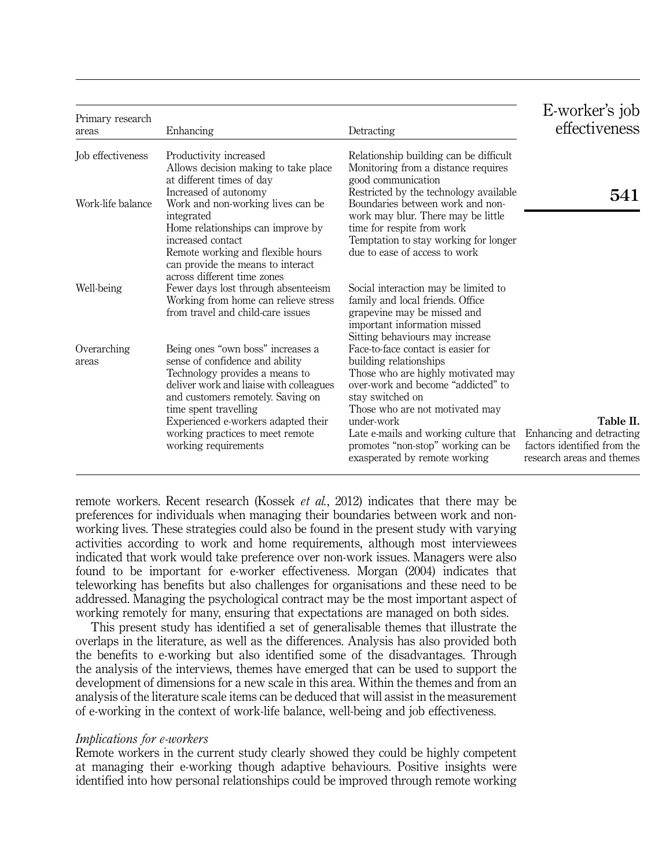| Primary research<br>areas | Enhancing                                                                                                                                                                                                                                                                                                          | Detracting                                                                                                                                                                                                                                                                                                                    | E-worker's job<br>effectiveness                                                                   |
|---------------------------|--------------------------------------------------------------------------------------------------------------------------------------------------------------------------------------------------------------------------------------------------------------------------------------------------------------------|-------------------------------------------------------------------------------------------------------------------------------------------------------------------------------------------------------------------------------------------------------------------------------------------------------------------------------|---------------------------------------------------------------------------------------------------|
| Job effectiveness         | Productivity increased<br>Allows decision making to take place.<br>at different times of day                                                                                                                                                                                                                       | Relationship building can be difficult<br>Monitoring from a distance requires<br>good communication                                                                                                                                                                                                                           |                                                                                                   |
| Work-life balance         | Increased of autonomy<br>Work and non-working lives can be<br>integrated<br>Home relationships can improve by<br>increased contact<br>Remote working and flexible hours<br>can provide the means to interact                                                                                                       | Restricted by the technology available<br>Boundaries between work and non-<br>work may blur. There may be little<br>time for respite from work<br>Temptation to stay working for longer<br>due to ease of access to work                                                                                                      |                                                                                                   |
| Well-being                | across different time zones<br>Fewer days lost through absenteeism<br>Working from home can relieve stress<br>from travel and child-care issues                                                                                                                                                                    | Social interaction may be limited to<br>family and local friends. Office<br>grapevine may be missed and<br>important information missed<br>Sitting behaviours may increase                                                                                                                                                    |                                                                                                   |
| Overarching<br>areas      | Being ones "own boss" increases a<br>sense of confidence and ability<br>Technology provides a means to<br>deliver work and liaise with colleagues<br>and customers remotely. Saving on<br>time spent travelling<br>Experienced e-workers adapted their<br>working practices to meet remote<br>working requirements | Face-to-face contact is easier for<br>building relationships<br>Those who are highly motivated may<br>over-work and become "addicted" to<br>stay switched on<br>Those who are not motivated may<br>under-work<br>Late e-mails and working culture that<br>promotes "non-stop" working can be<br>exasperated by remote working | Table II.<br>Enhancing and detracting<br>factors identified from the<br>research areas and themes |

remote workers. Recent research (Kossek *et al.*, 2012) indicates that there may be preferences for individuals when managing their boundaries between work and nonworking lives. These strategies could also be found in the present study with varying activities according to work and home requirements, although most interviewees indicated that work would take preference over non-work issues. Managers were also found to be important for e-worker effectiveness. Morgan (2004) indicates that teleworking has benefits but also challenges for organisations and these need to be addressed. Managing the psychological contract may be the most important aspect of working remotely for many, ensuring that expectations are managed on both sides.

This present study has identified a set of generalisable themes that illustrate the overlaps in the literature, as well as the differences. Analysis has also provided both the benefits to e-working but also identified some of the disadvantages. Through the analysis of the interviews, themes have emerged that can be used to support the development of dimensions for a new scale in this area. Within the themes and from an analysis of the literature scale items can be deduced that will assist in the measurement of e-working in the context of work-life balance, well-being and job effectiveness.

#### Implications for e-workers

Remote workers in the current study clearly showed they could be highly competent at managing their e-working though adaptive behaviours. Positive insights were identified into how personal relationships could be improved through remote working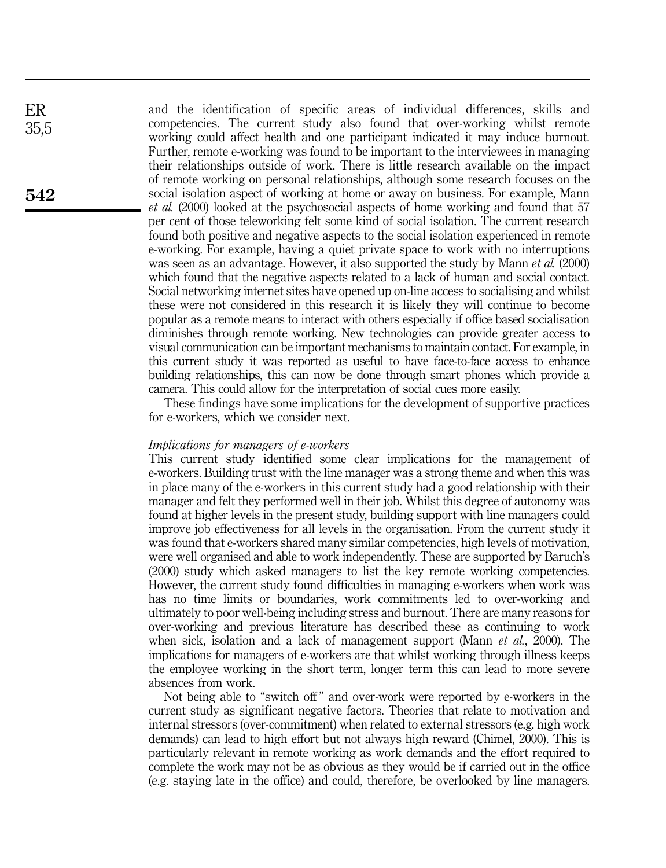and the identification of specific areas of individual differences, skills and competencies. The current study also found that over-working whilst remote working could affect health and one participant indicated it may induce burnout. Further, remote e-working was found to be important to the interviewees in managing their relationships outside of work. There is little research available on the impact of remote working on personal relationships, although some research focuses on the social isolation aspect of working at home or away on business. For example, Mann et al. (2000) looked at the psychosocial aspects of home working and found that 57 per cent of those teleworking felt some kind of social isolation. The current research found both positive and negative aspects to the social isolation experienced in remote e-working. For example, having a quiet private space to work with no interruptions was seen as an advantage. However, it also supported the study by Mann et al. (2000) which found that the negative aspects related to a lack of human and social contact. Social networking internet sites have opened up on-line access to socialising and whilst these were not considered in this research it is likely they will continue to become popular as a remote means to interact with others especially if office based socialisation diminishes through remote working. New technologies can provide greater access to visual communication can be important mechanisms to maintain contact. For example, in this current study it was reported as useful to have face-to-face access to enhance building relationships, this can now be done through smart phones which provide a camera. This could allow for the interpretation of social cues more easily.

These findings have some implications for the development of supportive practices for e-workers, which we consider next.

# Implications for managers of e-workers

This current study identified some clear implications for the management of e-workers. Building trust with the line manager was a strong theme and when this was in place many of the e-workers in this current study had a good relationship with their manager and felt they performed well in their job. Whilst this degree of autonomy was found at higher levels in the present study, building support with line managers could improve job effectiveness for all levels in the organisation. From the current study it was found that e-workers shared many similar competencies, high levels of motivation, were well organised and able to work independently. These are supported by Baruch's (2000) study which asked managers to list the key remote working competencies. However, the current study found difficulties in managing e-workers when work was has no time limits or boundaries, work commitments led to over-working and ultimately to poor well-being including stress and burnout. There are many reasons for over-working and previous literature has described these as continuing to work when sick, isolation and a lack of management support (Mann  $et$   $al$ , 2000). The implications for managers of e-workers are that whilst working through illness keeps the employee working in the short term, longer term this can lead to more severe absences from work.

Not being able to "switch off " and over-work were reported by e-workers in the current study as significant negative factors. Theories that relate to motivation and internal stressors (over-commitment) when related to external stressors (e.g. high work demands) can lead to high effort but not always high reward (Chimel, 2000). This is particularly relevant in remote working as work demands and the effort required to complete the work may not be as obvious as they would be if carried out in the office (e.g. staying late in the office) and could, therefore, be overlooked by line managers.

ER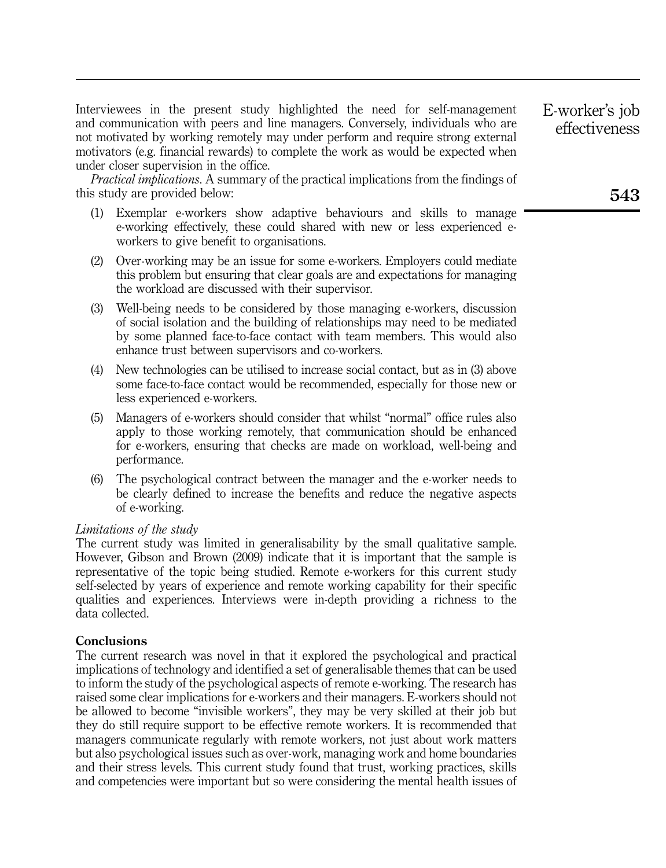Interviewees in the present study highlighted the need for self-management and communication with peers and line managers. Conversely, individuals who are not motivated by working remotely may under perform and require strong external motivators (e.g. financial rewards) to complete the work as would be expected when under closer supervision in the office.

Practical implications. A summary of the practical implications from the findings of this study are provided below:

- (1) Exemplar e-workers show adaptive behaviours and skills to manage e-working effectively, these could shared with new or less experienced eworkers to give benefit to organisations.
- (2) Over-working may be an issue for some e-workers. Employers could mediate this problem but ensuring that clear goals are and expectations for managing the workload are discussed with their supervisor.
- (3) Well-being needs to be considered by those managing e-workers, discussion of social isolation and the building of relationships may need to be mediated by some planned face-to-face contact with team members. This would also enhance trust between supervisors and co-workers.
- (4) New technologies can be utilised to increase social contact, but as in (3) above some face-to-face contact would be recommended, especially for those new or less experienced e-workers.
- (5) Managers of e-workers should consider that whilst "normal" office rules also apply to those working remotely, that communication should be enhanced for e-workers, ensuring that checks are made on workload, well-being and performance.
- (6) The psychological contract between the manager and the e-worker needs to be clearly defined to increase the benefits and reduce the negative aspects of e-working.

# Limitations of the study

The current study was limited in generalisability by the small qualitative sample. However, Gibson and Brown (2009) indicate that it is important that the sample is representative of the topic being studied. Remote e-workers for this current study self-selected by years of experience and remote working capability for their specific qualities and experiences. Interviews were in-depth providing a richness to the data collected.

# **Conclusions**

The current research was novel in that it explored the psychological and practical implications of technology and identified a set of generalisable themes that can be used to inform the study of the psychological aspects of remote e-working. The research has raised some clear implications for e-workers and their managers. E-workers should not be allowed to become "invisible workers", they may be very skilled at their job but they do still require support to be effective remote workers. It is recommended that managers communicate regularly with remote workers, not just about work matters but also psychological issues such as over-work, managing work and home boundaries and their stress levels. This current study found that trust, working practices, skills and competencies were important but so were considering the mental health issues of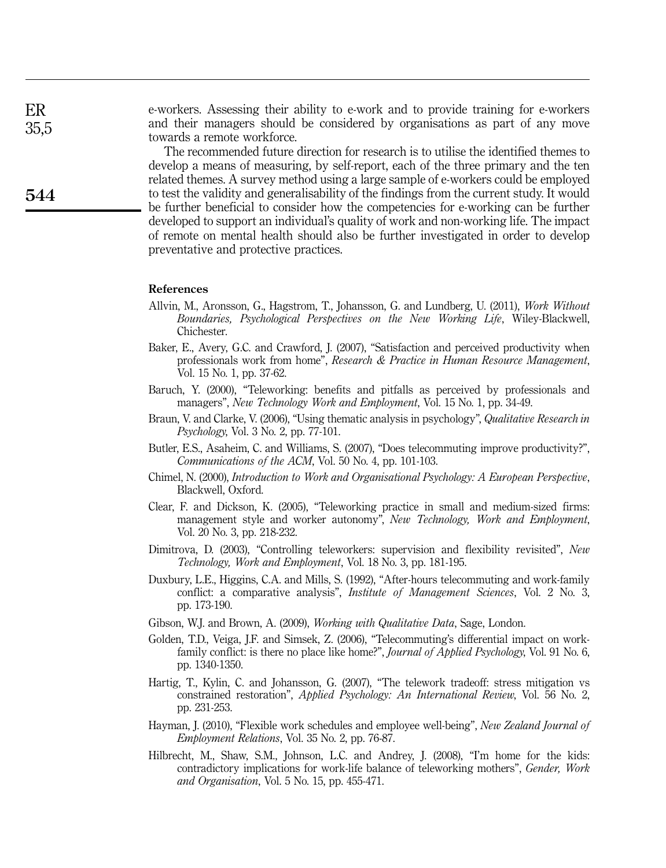e-workers. Assessing their ability to e-work and to provide training for e-workers and their managers should be considered by organisations as part of any move towards a remote workforce.

The recommended future direction for research is to utilise the identified themes to develop a means of measuring, by self-report, each of the three primary and the ten related themes. A survey method using a large sample of e-workers could be employed to test the validity and generalisability of the findings from the current study. It would be further beneficial to consider how the competencies for e-working can be further developed to support an individual's quality of work and non-working life. The impact of remote on mental health should also be further investigated in order to develop preventative and protective practices.

#### References

- Allvin, M., Aronsson, G., Hagstrom, T., Johansson, G. and Lundberg, U. (2011), Work Without Boundaries, Psychological Perspectives on the New Working Life, Wiley-Blackwell, Chichester.
- Baker, E., Avery, G.C. and Crawford, J. (2007), "Satisfaction and perceived productivity when professionals work from home", Research & Practice in Human Resource Management, Vol. 15 No. 1, pp. 37-62.
- Baruch, Y. (2000), "Teleworking: benefits and pitfalls as perceived by professionals and managers", New Technology Work and Employment, Vol. 15 No. 1, pp. 34-49.
- Braun, V. and Clarke, V. (2006), "Using thematic analysis in psychology", Qualitative Research in Psychology, Vol. 3 No. 2, pp. 77-101.
- Butler, E.S., Asaheim, C. and Williams, S. (2007), "Does telecommuting improve productivity?", Communications of the ACM, Vol. 50 No. 4, pp. 101-103.
- Chimel, N. (2000), Introduction to Work and Organisational Psychology: A European Perspective, Blackwell, Oxford.
- Clear, F. and Dickson, K. (2005), "Teleworking practice in small and medium-sized firms: management style and worker autonomy", New Technology, Work and Employment, Vol. 20 No. 3, pp. 218-232.
- Dimitrova, D. (2003), "Controlling teleworkers: supervision and flexibility revisited", New Technology, Work and Employment, Vol. 18 No. 3, pp. 181-195.
- Duxbury, L.E., Higgins, C.A. and Mills, S. (1992), "After-hours telecommuting and work-family conflict: a comparative analysis", Institute of Management Sciences, Vol. 2 No. 3, pp. 173-190.
- Gibson, W.J. and Brown, A. (2009), Working with Qualitative Data, Sage, London.
- Golden, T.D., Veiga, J.F. and Simsek, Z. (2006), "Telecommuting's differential impact on workfamily conflict: is there no place like home?", *Journal of Applied Psychology*, Vol. 91 No. 6, pp. 1340-1350.
- Hartig, T., Kylin, C. and Johansson, G. (2007), "The telework tradeoff: stress mitigation vs constrained restoration", Applied Psychology: An International Review, Vol. 56 No. 2, pp. 231-253.
- Hayman, J. (2010), "Flexible work schedules and employee well-being", New Zealand Journal of Employment Relations, Vol. 35 No. 2, pp. 76-87.
- Hilbrecht, M., Shaw, S.M., Johnson, L.C. and Andrey, J. (2008), "I'm home for the kids: contradictory implications for work-life balance of teleworking mothers", Gender, Work and Organisation, Vol. 5 No. 15, pp. 455-471.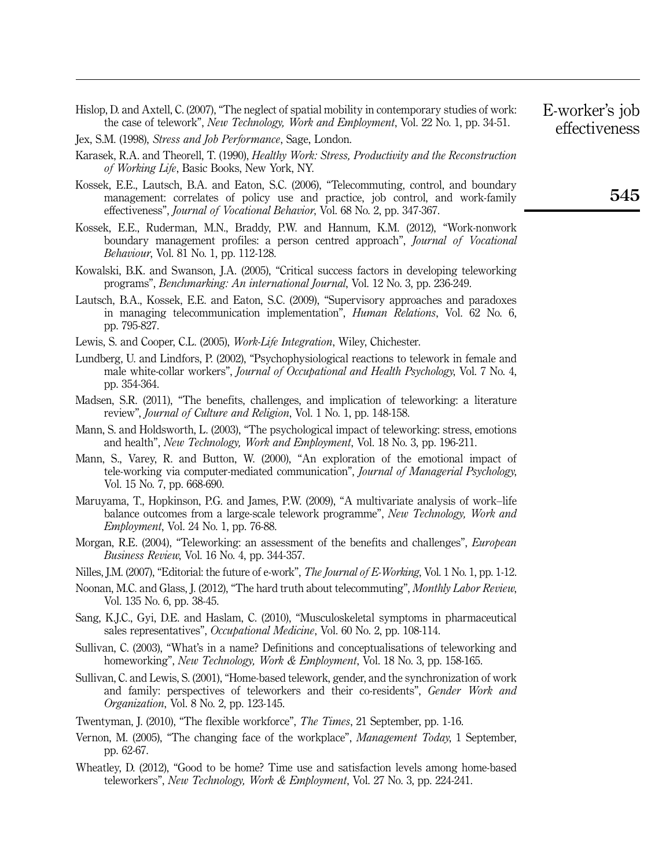Hislop, D. and Axtell, C. (2007), "The neglect of spatial mobility in contemporary studies of work: the case of telework", New Technology, Work and Employment, Vol. 22 No. 1, pp. 34-51.

Jex, S.M. (1998), Stress and Job Performance, Sage, London.

- Karasek, R.A. and Theorell, T. (1990), Healthy Work: Stress, Productivity and the Reconstruction of Working Life, Basic Books, New York, NY.
- Kossek, E.E., Lautsch, B.A. and Eaton, S.C. (2006), "Telecommuting, control, and boundary management: correlates of policy use and practice, job control, and work-family effectiveness", Journal of Vocational Behavior, Vol. 68 No. 2, pp. 347-367.
- Kossek, E.E., Ruderman, M.N., Braddy, P.W. and Hannum, K.M. (2012), "Work-nonwork boundary management profiles: a person centred approach", Journal of Vocational Behaviour, Vol. 81 No. 1, pp. 112-128.
- Kowalski, B.K. and Swanson, J.A. (2005), "Critical success factors in developing teleworking programs", Benchmarking: An international Journal, Vol. 12 No. 3, pp. 236-249.
- Lautsch, B.A., Kossek, E.E. and Eaton, S.C. (2009), "Supervisory approaches and paradoxes in managing telecommunication implementation", Human Relations, Vol. 62 No. 6, pp. 795-827.
- Lewis, S. and Cooper, C.L. (2005), Work-Life Integration, Wiley, Chichester.
- Lundberg, U. and Lindfors, P. (2002), "Psychophysiological reactions to telework in female and male white-collar workers", Journal of Occupational and Health Psychology, Vol. 7 No. 4, pp. 354-364.
- Madsen, S.R. (2011), "The benefits, challenges, and implication of teleworking: a literature review", Journal of Culture and Religion, Vol. 1 No. 1, pp. 148-158.
- Mann, S. and Holdsworth, L. (2003), "The psychological impact of teleworking: stress, emotions and health", New Technology, Work and Employment, Vol. 18 No. 3, pp. 196-211.
- Mann, S., Varey, R. and Button, W. (2000), "An exploration of the emotional impact of tele-working via computer-mediated communication", Journal of Managerial Psychology, Vol. 15 No. 7, pp. 668-690.
- Maruyama, T., Hopkinson, P.G. and James, P.W. (2009), "A multivariate analysis of work–life balance outcomes from a large-scale telework programme", New Technology, Work and Employment, Vol. 24 No. 1, pp. 76-88.
- Morgan, R.E. (2004), "Teleworking: an assessment of the benefits and challenges", *European* Business Review, Vol. 16 No. 4, pp. 344-357.
- Nilles, J.M. (2007), "Editorial: the future of e-work", *The Journal of E-Working*, Vol. 1 No. 1, pp. 1-12.
- Noonan, M.C. and Glass, J. (2012), "The hard truth about telecommuting", Monthly Labor Review, Vol. 135 No. 6, pp. 38-45.
- Sang, K.J.C., Gyi, D.E. and Haslam, C. (2010), "Musculoskeletal symptoms in pharmaceutical sales representatives", Occupational Medicine, Vol. 60 No. 2, pp. 108-114.
- Sullivan, C. (2003), "What's in a name? Definitions and conceptualisations of teleworking and homeworking", New Technology, Work & Employment, Vol. 18 No. 3, pp. 158-165.
- Sullivan, C. and Lewis, S. (2001), "Home-based telework, gender, and the synchronization of work and family: perspectives of teleworkers and their co-residents", Gender Work and Organization, Vol. 8 No. 2, pp. 123-145.
- Twentyman, J. (2010), "The flexible workforce", The Times, 21 September, pp. 1-16.
- Vernon, M. (2005), "The changing face of the workplace", Management Today, 1 September, pp. 62-67.
- Wheatley, D. (2012), "Good to be home? Time use and satisfaction levels among home-based teleworkers", New Technology, Work & Employment, Vol. 27 No. 3, pp. 224-241.